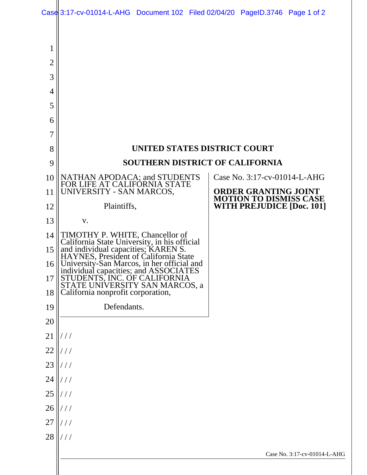| Case 3:17-cv-01014-L-AHG Document 102 Filed 02/04/20 PageID.3746 Page 1 of 2 |  |  |
|------------------------------------------------------------------------------|--|--|

| 1              |                                                                                                                              |                                                                   |  |  |  |  |
|----------------|------------------------------------------------------------------------------------------------------------------------------|-------------------------------------------------------------------|--|--|--|--|
| $\overline{2}$ |                                                                                                                              |                                                                   |  |  |  |  |
| 3              |                                                                                                                              |                                                                   |  |  |  |  |
| 4              |                                                                                                                              |                                                                   |  |  |  |  |
| 5              |                                                                                                                              |                                                                   |  |  |  |  |
| 6              |                                                                                                                              |                                                                   |  |  |  |  |
| 7              |                                                                                                                              |                                                                   |  |  |  |  |
| 8              | UNITED STATES DISTRICT COURT                                                                                                 |                                                                   |  |  |  |  |
| 9              | SOUTHERN DISTRICT OF CALIFORNIA                                                                                              |                                                                   |  |  |  |  |
| 10             | NATHAN APODACA; and STUDENTS<br>FOR LIFE AT CALIFORNIA STATE                                                                 | Case No. 3:17-cv-01014-L-AHG                                      |  |  |  |  |
| 11             | UNIVERSITY - SAN MARCOS,                                                                                                     | <b>ORDER GRANTING JOINT</b>                                       |  |  |  |  |
| 12             | Plaintiffs,                                                                                                                  | <b>MOTION TO DISMISS CASE</b><br><b>WITH PREJUDICE [Doc. 101]</b> |  |  |  |  |
| 13             | V.                                                                                                                           |                                                                   |  |  |  |  |
| 14             | TIMOTHY P. WHITE, Chancellor of                                                                                              |                                                                   |  |  |  |  |
| 15             | California State University, in his official<br>and individual capacities; KAREN S.<br>HAYNES, President of California State |                                                                   |  |  |  |  |
| 16             | University-San Marcos, in her official and                                                                                   |                                                                   |  |  |  |  |
| 17             | individual capacities; and ASSOCIATES<br>STUDENTS, INC. OF CALIFORNIA<br>STATE UNIVERSITY SAN MARCOS, a                      |                                                                   |  |  |  |  |
| $18$           | California nonprofit corporation,                                                                                            |                                                                   |  |  |  |  |
| 19             | Defendants.                                                                                                                  |                                                                   |  |  |  |  |
| 20             |                                                                                                                              |                                                                   |  |  |  |  |
| 21             | //                                                                                                                           |                                                                   |  |  |  |  |
| 22             | //                                                                                                                           |                                                                   |  |  |  |  |
| 23             | //                                                                                                                           |                                                                   |  |  |  |  |
| 24             | //                                                                                                                           |                                                                   |  |  |  |  |
| 25             | //                                                                                                                           |                                                                   |  |  |  |  |
| 26             | //                                                                                                                           |                                                                   |  |  |  |  |
| 27             | //                                                                                                                           |                                                                   |  |  |  |  |
| 28             | 111                                                                                                                          |                                                                   |  |  |  |  |
|                |                                                                                                                              | Case No. 3:17-cv-01014-L-AHG                                      |  |  |  |  |
|                |                                                                                                                              |                                                                   |  |  |  |  |